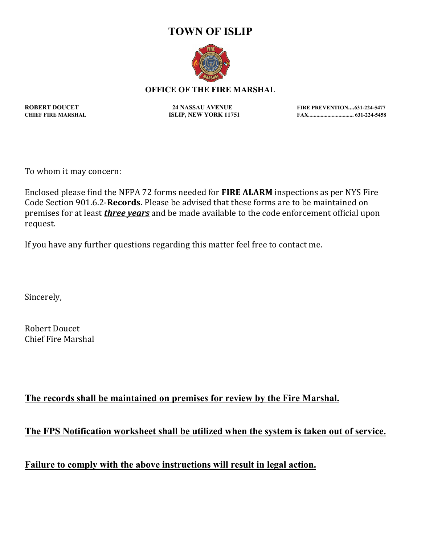## **TOWN OF ISLIP**



## **OFFICE OF THE FIRE MARSHAL**

**ROBERT DOUCET 24 NASSAU AVENUE FIRE PREVENTION....631-224-5477 CHIEF FIRE MARSHAL ISLIP, NEW YORK 11751 FAX................................. 631-224-5458**

To whom it may concern:

Enclosed please find the NFPA 72 forms needed for **FIRE ALARM** inspections as per NYS Fire Code Section 901.6.2-**Records.** Please be advised that these forms are to be maintained on premises for at least *three years* and be made available to the code enforcement official upon request.

If you have any further questions regarding this matter feel free to contact me.

Sincerely,

Robert Doucet Chief Fire Marshal

## **The records shall be maintained on premises for review by the Fire Marshal.**

**The FPS Notification worksheet shall be utilized when the system is taken out of service.**

**Failure to comply with the above instructions will result in legal action.**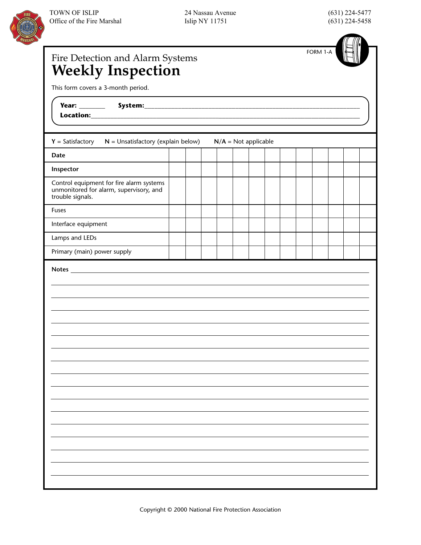

24 Nassau Avenue Islip NY 11751

(631) 224-5477 (631) 224-5458



| Fire Detection and Alarm Systems<br><b>Weekly Inspection</b>                                            |  |  |                        |  | FORM 1-A |  |  |
|---------------------------------------------------------------------------------------------------------|--|--|------------------------|--|----------|--|--|
| This form covers a 3-month period.                                                                      |  |  |                        |  |          |  |  |
| <u> 1989 - Johann Stein, mars an de Brasilia (b. 1989)</u>                                              |  |  |                        |  |          |  |  |
| $Y = Satisfactory$<br>$N =$ Unsatisfactory (explain below)                                              |  |  | $N/A = Not applicable$ |  |          |  |  |
| Date                                                                                                    |  |  |                        |  |          |  |  |
| Inspector                                                                                               |  |  |                        |  |          |  |  |
| Control equipment for fire alarm systems<br>unmonitored for alarm, supervisory, and<br>trouble signals. |  |  |                        |  |          |  |  |
| <b>Fuses</b>                                                                                            |  |  |                        |  |          |  |  |
| Interface equipment                                                                                     |  |  |                        |  |          |  |  |
| Lamps and LEDs                                                                                          |  |  |                        |  |          |  |  |
| Primary (main) power supply                                                                             |  |  |                        |  |          |  |  |
|                                                                                                         |  |  |                        |  |          |  |  |
|                                                                                                         |  |  |                        |  |          |  |  |
|                                                                                                         |  |  |                        |  |          |  |  |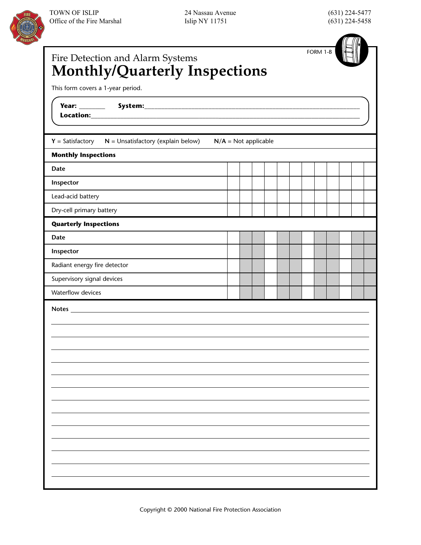

24 Nassau Avenue Islip NY 11751

(631) 224-5477 (631) 224-5458

| Fire Detection and Alarm Systems<br>Monthly/Quarterly Inspections<br>This form covers a 1-year period. |                        |  |  | FORM 1-B |  |  |
|--------------------------------------------------------------------------------------------------------|------------------------|--|--|----------|--|--|
|                                                                                                        |                        |  |  |          |  |  |
| $Y = Satisfactory \t N = Unsatisfactory (explain below)$                                               | $N/A = Not applicable$ |  |  |          |  |  |
| <b>Monthly Inspections</b>                                                                             |                        |  |  |          |  |  |
| <b>Date</b>                                                                                            |                        |  |  |          |  |  |
| Inspector                                                                                              |                        |  |  |          |  |  |
| Lead-acid battery                                                                                      |                        |  |  |          |  |  |
| Dry-cell primary battery                                                                               |                        |  |  |          |  |  |
| <b>Quarterly Inspections</b>                                                                           |                        |  |  |          |  |  |
| Date                                                                                                   |                        |  |  |          |  |  |
| Inspector                                                                                              |                        |  |  |          |  |  |
| Radiant energy fire detector                                                                           |                        |  |  |          |  |  |
| Supervisory signal devices                                                                             |                        |  |  |          |  |  |
| Waterflow devices                                                                                      |                        |  |  |          |  |  |
|                                                                                                        |                        |  |  |          |  |  |
|                                                                                                        |                        |  |  |          |  |  |
|                                                                                                        |                        |  |  |          |  |  |
|                                                                                                        |                        |  |  |          |  |  |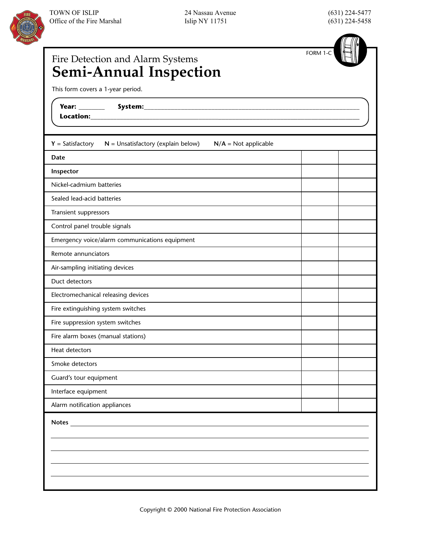



| Fire Detection and Alarm Systems<br><b>Semi-Annual Inspection</b>                    | FORM 1-C |  |
|--------------------------------------------------------------------------------------|----------|--|
| This form covers a 1-year period.                                                    |          |  |
| <b>Year: ________</b><br>Location:_____                                              |          |  |
| $Y = Satisfactory$<br>$N =$ Unsatisfactory (explain below)<br>$N/A = Not applicable$ |          |  |
| Date                                                                                 |          |  |
| Inspector                                                                            |          |  |
| Nickel-cadmium batteries                                                             |          |  |
| Sealed lead-acid batteries                                                           |          |  |
| Transient suppressors                                                                |          |  |
| Control panel trouble signals                                                        |          |  |
| Emergency voice/alarm communications equipment                                       |          |  |
| Remote annunciators                                                                  |          |  |
| Air-sampling initiating devices                                                      |          |  |
| Duct detectors                                                                       |          |  |
| Electromechanical releasing devices                                                  |          |  |
| Fire extinguishing system switches                                                   |          |  |
| Fire suppression system switches                                                     |          |  |
| Fire alarm boxes (manual stations)                                                   |          |  |
| Heat detectors                                                                       |          |  |
| Smoke detectors                                                                      |          |  |
| Guard's tour equipment                                                               |          |  |
| Interface equipment                                                                  |          |  |
| Alarm notification appliances                                                        |          |  |
| <b>Notes</b>                                                                         |          |  |
|                                                                                      |          |  |
|                                                                                      |          |  |
|                                                                                      |          |  |
|                                                                                      |          |  |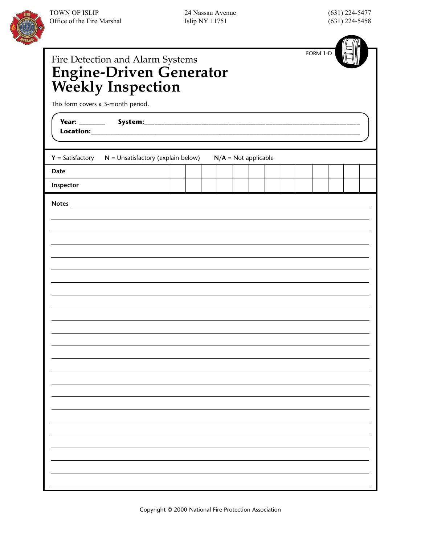| Fire Detection and Alarm Systems<br>Engine-Driven Generator<br>Weekly Inspection |  |  |                        |  |  | FORM 1-D |  |  |
|----------------------------------------------------------------------------------|--|--|------------------------|--|--|----------|--|--|
| This form covers a 3-month period.                                               |  |  |                        |  |  |          |  |  |
|                                                                                  |  |  |                        |  |  |          |  |  |
| $Y = Satisfactory$<br>$N =$ Unsatisfactory (explain below)                       |  |  | $N/A = Not applicable$ |  |  |          |  |  |
| Date                                                                             |  |  |                        |  |  |          |  |  |
| Inspector                                                                        |  |  |                        |  |  |          |  |  |
|                                                                                  |  |  |                        |  |  |          |  |  |
|                                                                                  |  |  |                        |  |  |          |  |  |
|                                                                                  |  |  |                        |  |  |          |  |  |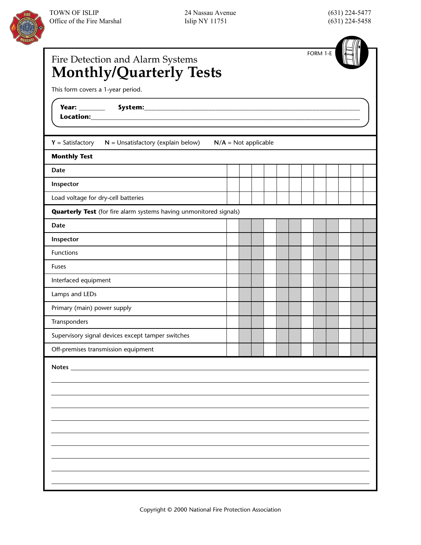| Fire Detection and Alarm Systems<br>Monthly/Quarterly Tests               |                        |  |  |  | FORM 1-E |  |  |
|---------------------------------------------------------------------------|------------------------|--|--|--|----------|--|--|
| This form covers a 1-year period.                                         |                        |  |  |  |          |  |  |
|                                                                           |                        |  |  |  |          |  |  |
| $Y = Satisfactory$<br>$N =$ Unsatisfactory (explain below)                | $N/A = Not applicable$ |  |  |  |          |  |  |
| <b>Monthly Test</b>                                                       |                        |  |  |  |          |  |  |
| Date                                                                      |                        |  |  |  |          |  |  |
| Inspector                                                                 |                        |  |  |  |          |  |  |
| Load voltage for dry-cell batteries                                       |                        |  |  |  |          |  |  |
| <b>Quarterly Test</b> (for fire alarm systems having unmonitored signals) |                        |  |  |  |          |  |  |
| Date                                                                      |                        |  |  |  |          |  |  |
| Inspector                                                                 |                        |  |  |  |          |  |  |
| Functions                                                                 |                        |  |  |  |          |  |  |
| <b>Fuses</b>                                                              |                        |  |  |  |          |  |  |
| Interfaced equipment                                                      |                        |  |  |  |          |  |  |
| Lamps and LEDs                                                            |                        |  |  |  |          |  |  |
| Primary (main) power supply                                               |                        |  |  |  |          |  |  |
| Transponders                                                              |                        |  |  |  |          |  |  |
| Supervisory signal devices except tamper switches                         |                        |  |  |  |          |  |  |
| Off-premises transmission equipment                                       |                        |  |  |  |          |  |  |
| Notes_                                                                    |                        |  |  |  |          |  |  |
|                                                                           |                        |  |  |  |          |  |  |
|                                                                           |                        |  |  |  |          |  |  |
|                                                                           |                        |  |  |  |          |  |  |
|                                                                           |                        |  |  |  |          |  |  |
|                                                                           |                        |  |  |  |          |  |  |
|                                                                           |                        |  |  |  |          |  |  |
|                                                                           |                        |  |  |  |          |  |  |
|                                                                           |                        |  |  |  |          |  |  |
|                                                                           |                        |  |  |  |          |  |  |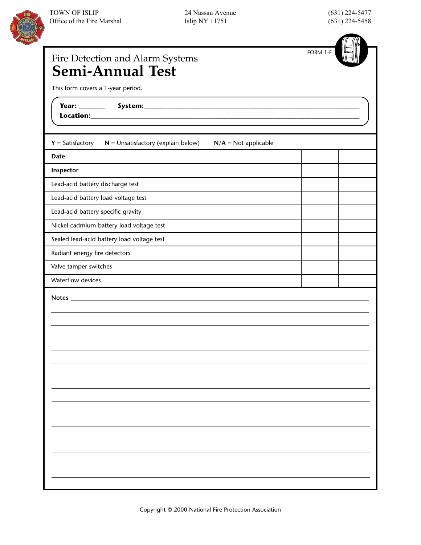

| Fire Detection and Alarm Systems<br><b>Semi-Annual Test</b>                          | FORM 1-F |
|--------------------------------------------------------------------------------------|----------|
| This form covers a 1-year period.                                                    |          |
|                                                                                      |          |
| $N =$ Unsatisfactory (explain below)<br>$Y = Satisfactory$<br>$N/A = Not applicable$ |          |
| Date                                                                                 |          |
| Inspector                                                                            |          |
| Lead-acid battery discharge test                                                     |          |
| Lead-acid battery load voltage test                                                  |          |
| Lead-acid battery specific gravity                                                   |          |
| Nickel-cadmium battery load voltage test                                             |          |
| Sealed lead-acid battery load voltage test                                           |          |
| Radiant energy fire detectors                                                        |          |
| Valve tamper switches                                                                |          |
| Waterflow devices                                                                    |          |
|                                                                                      |          |
|                                                                                      |          |
|                                                                                      |          |
|                                                                                      |          |
|                                                                                      |          |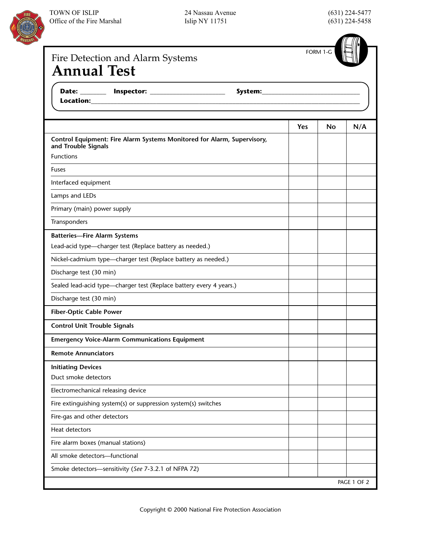

24 Nassau Avenue Islip NY 11751

(631) 224-5477 (631) 224-5458

| Fire Detection and Alarm Systems<br><b>Annual Test</b>                                          |            | FORM 1-G |     |
|-------------------------------------------------------------------------------------------------|------------|----------|-----|
|                                                                                                 |            |          |     |
|                                                                                                 | <b>Yes</b> | No       | N/A |
| Control Equipment: Fire Alarm Systems Monitored for Alarm, Supervisory,<br>and Trouble Signals  |            |          |     |
| <b>Functions</b>                                                                                |            |          |     |
| Fuses                                                                                           |            |          |     |
| Interfaced equipment                                                                            |            |          |     |
| Lamps and LEDs                                                                                  |            |          |     |
| Primary (main) power supply                                                                     |            |          |     |
| Transponders                                                                                    |            |          |     |
| <b>Batteries-Fire Alarm Systems</b><br>Lead-acid type-charger test (Replace battery as needed.) |            |          |     |
| Nickel-cadmium type-charger test (Replace battery as needed.)                                   |            |          |     |
| Discharge test (30 min)                                                                         |            |          |     |
| Sealed lead-acid type-charger test (Replace battery every 4 years.)                             |            |          |     |
| Discharge test (30 min)                                                                         |            |          |     |
| <b>Fiber-Optic Cable Power</b>                                                                  |            |          |     |
| <b>Control Unit Trouble Signals</b>                                                             |            |          |     |
| <b>Emergency Voice-Alarm Communications Equipment</b>                                           |            |          |     |
| <b>Remote Annunciators</b>                                                                      |            |          |     |
| <b>Initiating Devices</b><br>Duct smoke detectors                                               |            |          |     |
| Electromechanical releasing device                                                              |            |          |     |
| Fire extinguishing system(s) or suppression system(s) switches                                  |            |          |     |
| Fire-gas and other detectors                                                                    |            |          |     |
| Heat detectors                                                                                  |            |          |     |
| Fire alarm boxes (manual stations)                                                              |            |          |     |
| All smoke detectors-functional                                                                  |            |          |     |
| Smoke detectors-sensitivity (See 7-3.2.1 of NFPA 72)                                            |            |          |     |